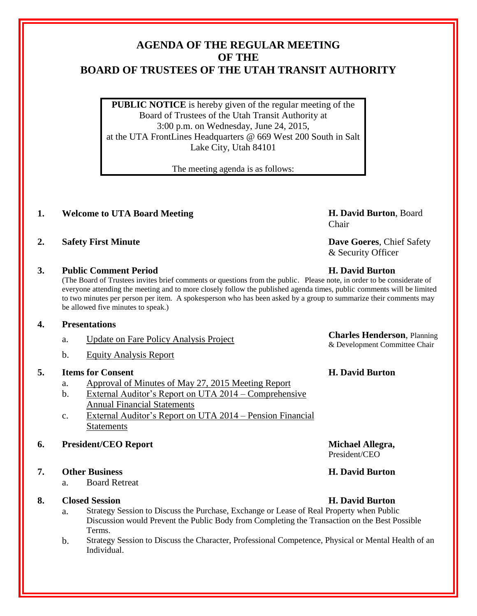# **AGENDA OF THE REGULAR MEETING OF THE BOARD OF TRUSTEES OF THE UTAH TRANSIT AUTHORITY**

**PUBLIC NOTICE** is hereby given of the regular meeting of the Board of Trustees of the Utah Transit Authority at 3:00 p.m. on Wednesday, June 24, 2015, at the UTA FrontLines Headquarters @ 669 West 200 South in Salt Lake City, Utah 84101

The meeting agenda is as follows:

## **1. Welcome to UTA Board Meeting H. David Burton**, Board

**2. Safety First Minute Dave Goeres**, Chief Safety

### **3. Public Comment Period H. David Burton**

(The Board of Trustees invites brief comments or questions from the public. Please note, in order to be considerate of everyone attending the meeting and to more closely follow the published agenda times, public comments will be limited to two minutes per person per item. A spokesperson who has been asked by a group to summarize their comments may be allowed five minutes to speak.)

#### **4. Presentations**

- a. Update on Fare Policy Analysis Project **Charles Henderson**, Planning
- b. Equity Analysis Report

### **5. Items for Consent H. David Burton**

- a. Approval of Minutes of May 27, 2015 Meeting Report
- b. External Auditor's Report on UTA 2014 Comprehensive Annual Financial Statements
- c. External Auditor's Report on UTA 2014 Pension Financial Statements

## **6. President/CEO Report Michael Allegra,**

## **7. Other Business H. David Burton**

a. Board Retreat

### **8. Closed Session H. David Burton**

- a. Strategy Session to Discuss the Purchase, Exchange or Lease of Real Property when Public Discussion would Prevent the Public Body from Completing the Transaction on the Best Possible Terms.
- b. Strategy Session to Discuss the Character, Professional Competence, Physical or Mental Health of an Individual.

Chair

& Security Officer

President/CEO

& Development Committee Chair